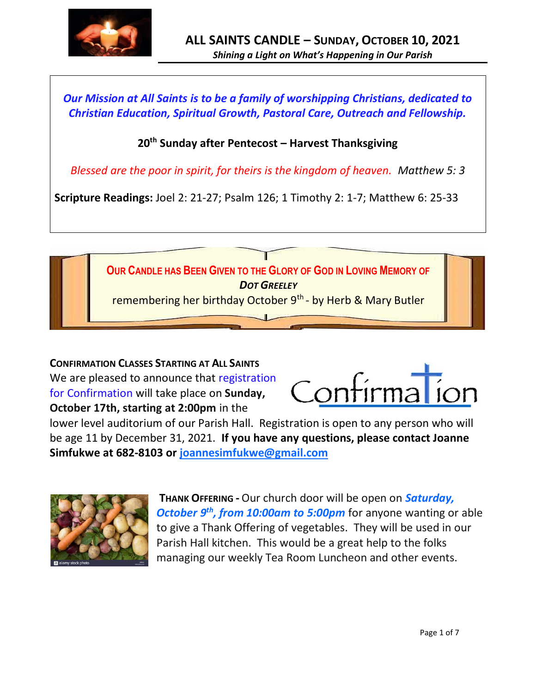

*Our Mission at All Saints is to be a family of worshipping Christians, dedicated to Christian Education, Spiritual Growth, Pastoral Care, Outreach and Fellowship.*

## **20th Sunday after Pentecost – Harvest Thanksgiving**

*Blessed are the poor in spirit, for theirs is the kingdom of heaven. Matthew 5: 3*

**Scripture Readings:** Joel 2: 21-27; Psalm 126; 1 Timothy 2: 1-7; Matthew 6: 25-33



**CONFIRMATION CLASSES STARTING AT ALL SAINTS** We are pleased to announce that registration for Confirmation will take place on **Sunday, October 17th, starting at 2:00pm** in the



lower level auditorium of our Parish Hall. Registration is open to any person who will be age 11 by December 31, 2021. **If you have any questions, please contact Joanne Simfukwe at 682-8103 or [joannesimfukwe@gmail.com](mailto:joannesimfukwe@gmail.com)**



**THANK OFFERING -** Our church door will be open on *Saturday, October 9th, from 10:00am to 5:00pm* for anyone wanting or able to give a Thank Offering of vegetables. They will be used in our Parish Hall kitchen. This would be a great help to the folks managing our weekly Tea Room Luncheon and other events.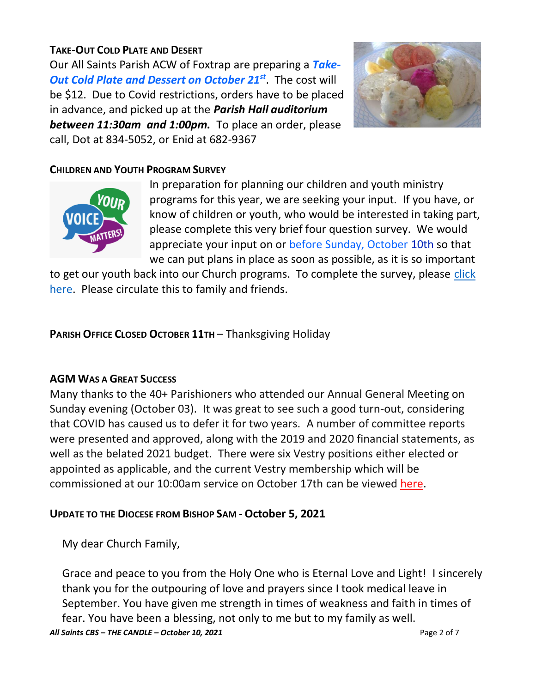## **TAKE-OUT COLD PLATE AND DESERT**

Our All Saints Parish ACW of Foxtrap are preparing a *Take-Out Cold Plate and Dessert on October 21st*. The cost will be \$12. Due to Covid restrictions, orders have to be placed in advance, and picked up at the *Parish Hall auditorium between 11:30am and 1:00pm.* To place an order, please call, Dot at 834-5052, or Enid at 682-9367



## **CHILDREN AND YOUTH PROGRAM SURVEY**



In preparation for planning our children and youth ministry programs for this year, we are seeking your input. If you have, or know of children or youth, who would be interested in taking part, please complete this very brief four question survey. We would appreciate your input on or before Sunday, October 10th so that we can put plans in place as soon as possible, as it is so important

to get our youth back into our Church programs. To complete the survey, please [click](https://www.surveymonkey.com/r/9Z8L59K)  [here.](https://www.surveymonkey.com/r/9Z8L59K) Please circulate this to family and friends.

**PARISH OFFICE CLOSED OCTOBER 11TH** – Thanksgiving Holiday

#### **AGM WAS A GREAT SUCCESS**

Many thanks to the 40+ Parishioners who attended our Annual General Meeting on Sunday evening (October 03). It was great to see such a good turn-out, considering that COVID has caused us to defer it for two years. A number of committee reports were presented and approved, along with the 2019 and 2020 financial statements, as well as the belated 2021 budget. There were six Vestry positions either elected or appointed as applicable, and the current Vestry membership which will be commissioned at our 10:00am service on October 17th can be viewed [here.](http://allsaintsparish.ca/document_library/All%20Saints%20Vestry%20Membership%20211003.pdf)

#### **UPDATE TO THE DIOCESE FROM BISHOP SAM - October 5, 2021**

My dear Church Family,

*All Saints CBS – THE CANDLE – October 10, 2021* Page 2 of 7 Grace and peace to you from the Holy One who is Eternal Love and Light! I sincerely thank you for the outpouring of love and prayers since I took medical leave in September. You have given me strength in times of weakness and faith in times of fear. You have been a blessing, not only to me but to my family as well.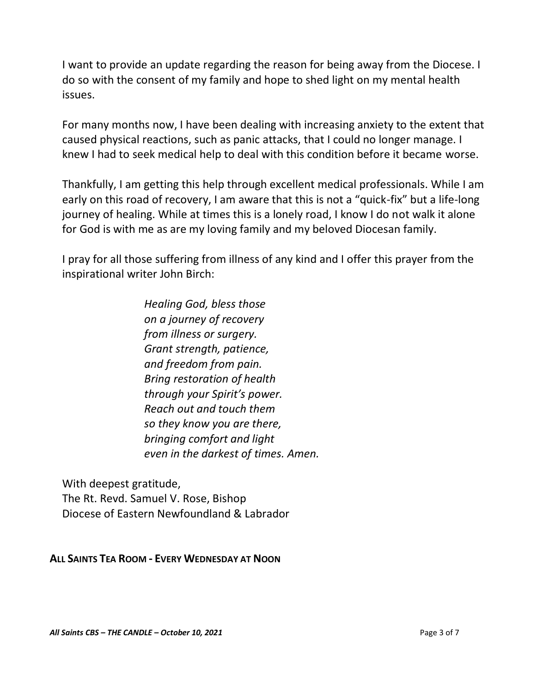I want to provide an update regarding the reason for being away from the Diocese. I do so with the consent of my family and hope to shed light on my mental health issues.

For many months now, I have been dealing with increasing anxiety to the extent that caused physical reactions, such as panic attacks, that I could no longer manage. I knew I had to seek medical help to deal with this condition before it became worse.

Thankfully, I am getting this help through excellent medical professionals. While I am early on this road of recovery, I am aware that this is not a "quick-fix" but a life-long journey of healing. While at times this is a lonely road, I know I do not walk it alone for God is with me as are my loving family and my beloved Diocesan family.

I pray for all those suffering from illness of any kind and I offer this prayer from the inspirational writer John Birch:

> *Healing God, bless those on a journey of recovery from illness or surgery. Grant strength, patience, and freedom from pain. Bring restoration of health through your Spirit's power. Reach out and touch them so they know you are there, bringing comfort and light even in the darkest of times. Amen.*

With deepest gratitude, The Rt. Revd. Samuel V. Rose, Bishop Diocese of Eastern Newfoundland & Labrador

**ALL SAINTS TEA ROOM - EVERY WEDNESDAY AT NOON**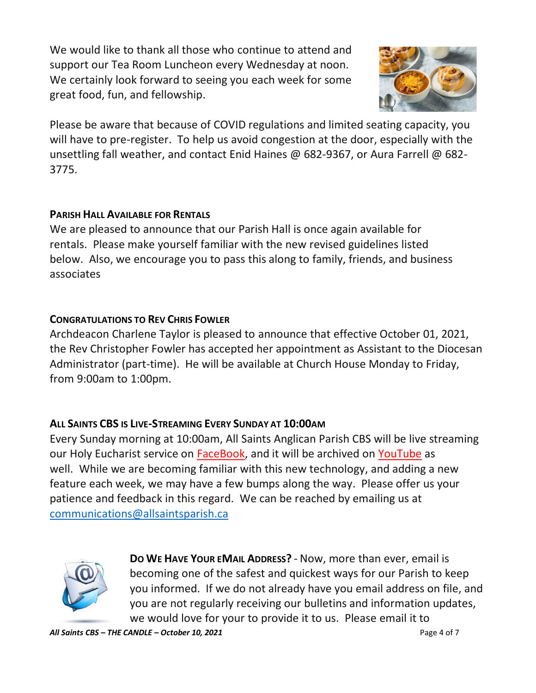We would like to thank all those who continue to attend and support our Tea Room Luncheon every Wednesday at noon. We certainly look forward to seeing you each week for some great food, fun, and fellowship.



Please be aware that because of COVID regulations and limited seating capacity, you will have to pre-register. To help us avoid congestion at the door, especially with the unsettling fall weather, and contact Enid Haines @ 682-9367, or Aura Farrell @ 682- 3775.

#### **PARISH HALL AVAILABLE FOR RENTALS**

We are pleased to announce that our Parish Hall is once again available for rentals. Please make yourself familiar with the new revised guidelines listed below. Also, we encourage you to pass this along to family, friends, and business associates

#### **CONGRATULATIONS TO REV CHRIS FOWLER**

Archdeacon Charlene Taylor is pleased to announce that effective October 01, 2021, the Rev Christopher Fowler has accepted her appointment as Assistant to the Diocesan Administrator (part-time). He will be available at Church House Monday to Friday, from 9:00am to 1:00pm.

#### **ALL SAINTS CBS IS LIVE-STREAMING EVERY SUNDAY AT 10:00AM**

Every Sunday morning at 10:00am, All Saints Anglican Parish CBS will be live streaming our Holy Eucharist service on [FaceBook,](https://www.facebook.com/AllSaintsAnglicanChurchCBS) and it will be archived on [YouTube](https://www.youtube.com/results?search_query=all+saints+anglican+parish+cbs) as well. While we are becoming familiar with this new technology, and adding a new feature each week, we may have a few bumps along the way. Please offer us your patience and feedback in this regard. We can be reached by emailing us at [communications@allsaintsparish.ca](mailto:communications@allsaintsparish.ca?subject=Live%20Streaming%20Feedback)



**DO WE HAVE YOUR EMAIL ADDRESS?** - Now, more than ever, email is becoming one of the safest and quickest ways for our Parish to keep you informed. If we do not already have you email address on file, and you are not regularly receiving our bulletins and information updates, we would love for your to provide it to us. Please email it to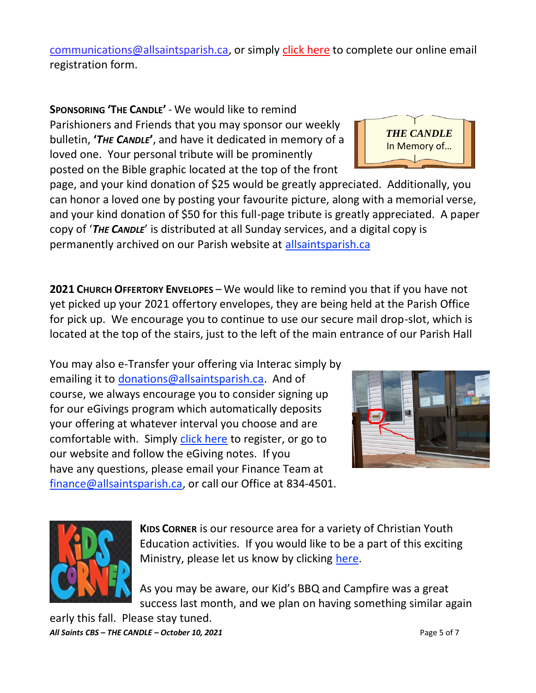communications@allsaintsparish.ca, or simply click here to complete our online email registration form.

**SPONSORING 'THE CANDLE'** - We would like to remind Parishioners and Friends that you may sponsor our weekly bulletin, **'***THE CANDLE***'**, and have it dedicated in memory of a loved one. Your personal tribute will be prominently posted on the Bible graphic located at the top of the front

page, and your kind donation of \$25 would be greatly appreciated. Additionally, you can honor a loved one by posting your favourite picture, along with a memorial verse, and your kind donation of \$50 for this full-page tribute is greatly appreciated. A paper copy of '*THE CANDLE*' is distributed at all Sunday services, and a digital copy is permanently archived on our Parish website at allsaintsparish.ca

**2021 CHURCH OFFERTORY ENVELOPES** – We would like to remind you that if you have not yet picked up your 2021 offertory envelopes, they are being held at the Parish Office for pick up. We encourage you to continue to use our secure mail drop-slot, which is located at the top of the stairs, just to the left of the main entrance of our Parish Hall

You may also e-Transfer your offering via Interac simply by emailing it to donations@allsaintsparish.ca. And of course, we always encourage you to consider signing up for our eGivings program which automatically deposits your offering at whatever interval you choose and are comfortable with. Simply click here to register, or go to our website and follow the eGiving notes. If you have any questions, please email your Finance Team at finance@allsaintsparish.ca, or call our Office at 834-4501.





**KIDS CORNER** is our resource area for a variety of Christian Youth Education activities. If you would like to be a part of this exciting Ministry, please let us know by clicking here.

As you may be aware, our Kid's BBQ and Campfire was a great success last month, and we plan on having something similar again

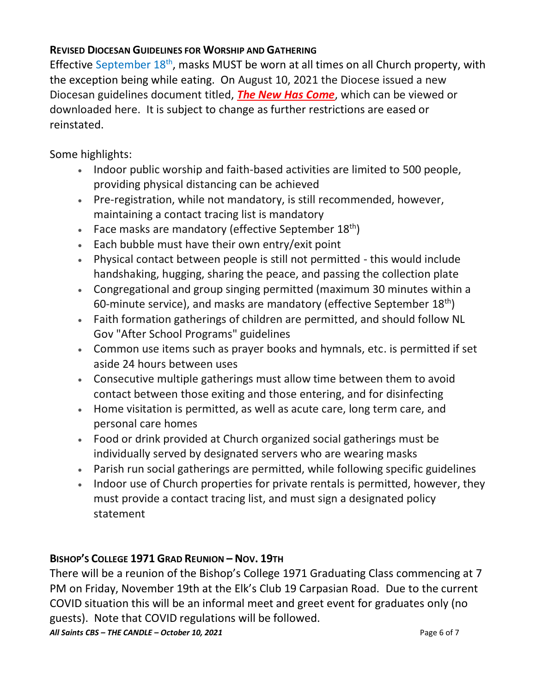## **REVISED DIOCESAN GUIDELINES FOR WORSHIP AND GATHERING**

Effective September  $18<sup>th</sup>$ , masks MUST be worn at all times on all Church property, with the exception being while eating. On August 10, 2021 the Diocese issued a new Diocesan guidelines document titled, *The New Has Come*, which can be viewed or downloaded here. It is subject to change as further restrictions are eased or reinstated.

Some highlights:

- Indoor public worship and faith-based activities are limited to 500 people, providing physical distancing can be achieved
- Pre-registration, while not mandatory, is still recommended, however, maintaining a contact tracing list is mandatory
- Face masks are mandatory (effective September  $18<sup>th</sup>$ )
- Each bubble must have their own entry/exit point
- Physical contact between people is still not permitted this would include handshaking, hugging, sharing the peace, and passing the collection plate
- Congregational and group singing permitted (maximum 30 minutes within a 60-minute service), and masks are mandatory (effective September  $18<sup>th</sup>$ )
- Faith formation gatherings of children are permitted, and should follow NL Gov "After School Programs" guidelines
- Common use items such as prayer books and hymnals, etc. is permitted if set aside 24 hours between uses
- Consecutive multiple gatherings must allow time between them to avoid contact between those exiting and those entering, and for disinfecting
- Home visitation is permitted, as well as acute care, long term care, and personal care homes
- Food or drink provided at Church organized social gatherings must be individually served by designated servers who are wearing masks
- Parish run social gatherings are permitted, while following specific guidelines
- Indoor use of Church properties for private rentals is permitted, however, they must provide a contact tracing list, and must sign a designated policy statement

# **BISHOP'S COLLEGE 1971 GRAD REUNION – NOV. 19TH**

There will be a reunion of the Bishop's College 1971 Graduating Class commencing at 7 PM on Friday, November 19th at the Elk's Club 19 Carpasian Road. Due to the current COVID situation this will be an informal meet and greet event for graduates only (no guests). Note that COVID regulations will be followed.